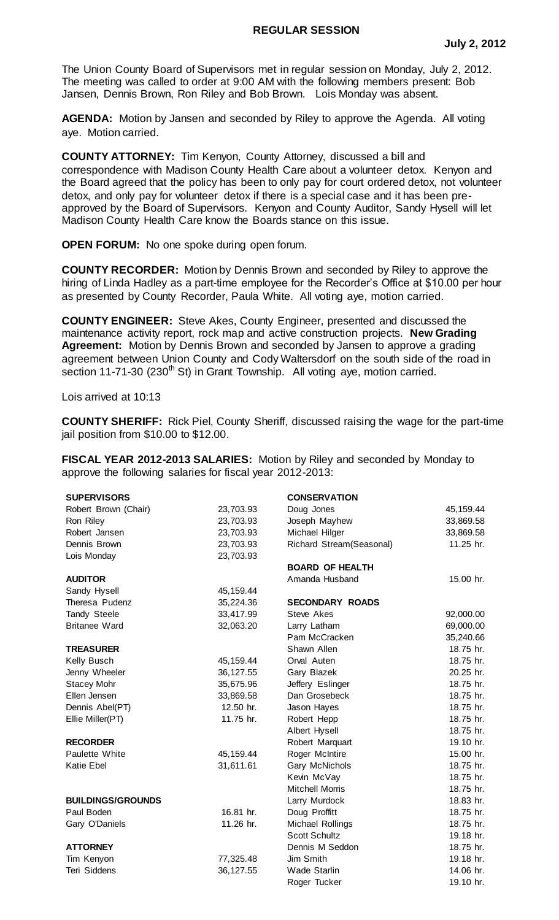## **REGULAR SESSION**

The Union County Board of Supervisors met in regular session on Monday, July 2, 2012. The meeting was called to order at 9:00 AM with the following members present: Bob Jansen, Dennis Brown, Ron Riley and Bob Brown. Lois Monday was absent.

**AGENDA:** Motion by Jansen and seconded by Riley to approve the Agenda. All voting aye. Motion carried.

**COUNTY ATTORNEY:** Tim Kenyon, County Attorney, discussed a bill and correspondence with Madison County Health Care about a volunteer detox. Kenyon and the Board agreed that the policy has been to only pay for court ordered detox, not volunteer detox, and only pay for volunteer detox if there is a special case and it has been preapproved by the Board of Supervisors. Kenyon and County Auditor, Sandy Hysell will let Madison County Health Care know the Boards stance on this issue.

**OPEN FORUM:** No one spoke during open forum.

**COUNTY RECORDER:** Motion by Dennis Brown and seconded by Riley to approve the hiring of Linda Hadley as a part-time employee for the Recorder's Office at \$10.00 per hour as presented by County Recorder, Paula White. All voting aye, motion carried.

**COUNTY ENGINEER:** Steve Akes, County Engineer, presented and discussed the maintenance activity report, rock map and active construction projects. **New Grading Agreement:** Motion by Dennis Brown and seconded by Jansen to approve a grading agreement between Union County and Cody Waltersdorf on the south side of the road in section 11-71-30 (230<sup>th</sup> St) in Grant Township. All voting ave, motion carried.

Lois arrived at 10:13

**COUNTY SHERIFF:** Rick Piel, County Sheriff, discussed raising the wage for the part-time jail position from \$10.00 to \$12.00.

**FISCAL YEAR 2012-2013 SALARIES:** Motion by Riley and seconded by Monday to approve the following salaries for fiscal year 2012-2013:

| <b>SUPERVISORS</b>       |            | <b>CONSERVATION</b>      |             |
|--------------------------|------------|--------------------------|-------------|
| Robert Brown (Chair)     | 23,703.93  | Doug Jones               | 45, 159. 44 |
| Ron Riley                | 23,703.93  | Joseph Mayhew            | 33,869.58   |
| Robert Jansen            | 23,703.93  | Michael Hilger           | 33,869.58   |
| Dennis Brown             | 23,703.93  | Richard Stream(Seasonal) | 11.25 hr.   |
| Lois Monday              | 23,703.93  |                          |             |
|                          |            | <b>BOARD OF HEALTH</b>   |             |
| <b>AUDITOR</b>           |            | Amanda Husband           | 15.00 hr.   |
| Sandy Hysell             | 45, 159.44 |                          |             |
| Theresa Pudenz           | 35,224.36  | <b>SECONDARY ROADS</b>   |             |
| Tandy Steele             | 33,417.99  | Steve Akes               | 92,000.00   |
| <b>Britanee Ward</b>     | 32,063.20  | Larry Latham             | 69,000.00   |
|                          |            | Pam McCracken            | 35,240.66   |
| <b>TREASURER</b>         |            | Shawn Allen              | 18.75 hr.   |
| Kelly Busch              | 45, 159.44 | Orval Auten              | 18.75 hr.   |
| Jenny Wheeler            | 36, 127.55 | Gary Blazek              | 20.25 hr.   |
| <b>Stacey Mohr</b>       | 35,675.96  | Jeffery Eslinger         | 18.75 hr.   |
| Ellen Jensen             | 33,869.58  | Dan Grosebeck            | 18.75 hr.   |
| Dennis Abel(PT)          | 12.50 hr.  | Jason Hayes              | 18.75 hr.   |
| Ellie Miller(PT)         | 11.75 hr.  | Robert Hepp              | 18.75 hr.   |
|                          |            | Albert Hysell            | 18.75 hr.   |
| <b>RECORDER</b>          |            | Robert Marquart          | 19.10 hr.   |
| Paulette White           | 45, 159.44 | Roger McIntire           | 15.00 hr.   |
| Katie Ebel               | 31,611.61  | Gary McNichols           | 18.75 hr.   |
|                          |            | Kevin McVay              | 18.75 hr.   |
|                          |            | <b>Mitchell Morris</b>   | 18.75 hr.   |
| <b>BUILDINGS/GROUNDS</b> |            | Larry Murdock            | 18.83 hr.   |
| Paul Boden               | 16.81 hr.  | Doug Proffitt            | 18.75 hr.   |
| Gary O'Daniels           | 11.26 hr.  | Michael Rollings         | 18.75 hr.   |
|                          |            | <b>Scott Schultz</b>     | 19.18 hr.   |
| <b>ATTORNEY</b>          |            | Dennis M Seddon          | 18.75 hr.   |
| Tim Kenyon               | 77,325.48  | Jim Smith                | 19.18 hr.   |
| Teri Siddens             | 36, 127.55 | <b>Wade Starlin</b>      | 14.06 hr.   |
|                          |            | Roger Tucker             | 19.10 hr.   |